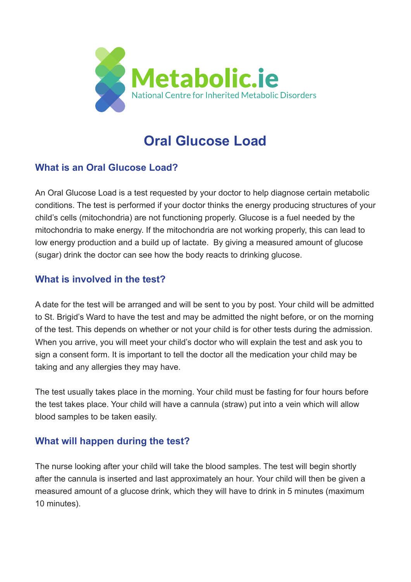

# **Oral Glucose Load**

## **What is an Oral Glucose Load?**

An Oral Glucose Load is a test requested by your doctor to help diagnose certain metabolic conditions. The test is performed if your doctor thinks the energy producing structures of your child's cells (mitochondria) are not functioning properly. Glucose is a fuel needed by the mitochondria to make energy. If the mitochondria are not working properly, this can lead to low energy production and a build up of lactate. By giving a measured amount of glucose (sugar) drink the doctor can see how the body reacts to drinking glucose.

### **What is involved in the test?**

A date for the test will be arranged and will be sent to you by post. Your child will be admitted to St. Brigid's Ward to have the test and may be admitted the night before, or on the morning of the test. This depends on whether or not your child is for other tests during the admission. When you arrive, you will meet your child's doctor who will explain the test and ask you to sign a consent form. It is important to tell the doctor all the medication your child may be taking and any allergies they may have.

The test usually takes place in the morning. Your child must be fasting for four hours before the test takes place. Your child will have a cannula (straw) put into a vein which will allow blood samples to be taken easily.

### **What will happen during the test?**

The nurse looking after your child will take the blood samples. The test will begin shortly after the cannula is inserted and last approximately an hour. Your child will then be given a measured amount of a glucose drink, which they will have to drink in 5 minutes (maximum 10 minutes).